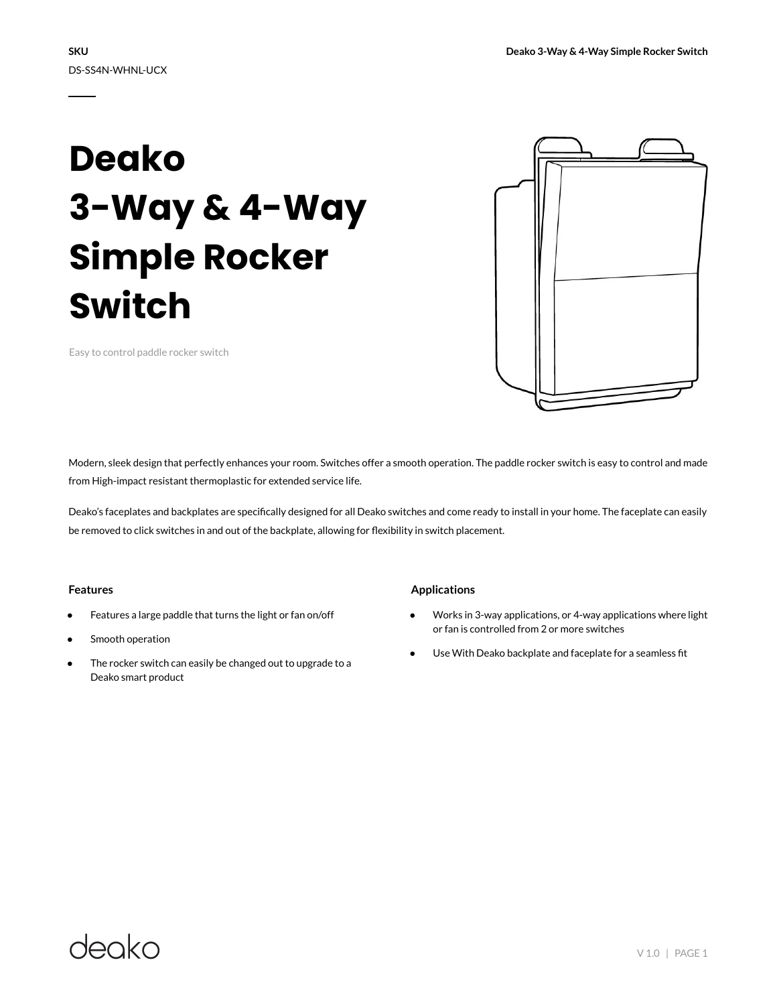# **Deako 3-Way & 4-Way Simple Rocker Switch**



Easy to control paddle rocker switch

Modern, sleek design that perfectly enhances your room. Switches offer a smooth operation. The paddle rocker switch is easy to control and made from High-impact resistant thermoplastic for extended service life.

Deako's faceplates and backplates are specifically designed for all Deako switches and come ready to install in your home. The faceplate can easily be removed to click switches in and out of the backplate, allowing for flexibility in switch placement.

#### **Features**

- Features a large paddle that turns the light or fan on/off
- Smooth operation
- The rocker switch can easily be changed out to upgrade to a Deako smart product

### **Applications**

- Works in 3-way applications, or 4-way applications where light or fan is controlled from 2 or more switches
- Use With Deako backplate and faceplate for a seamless fit